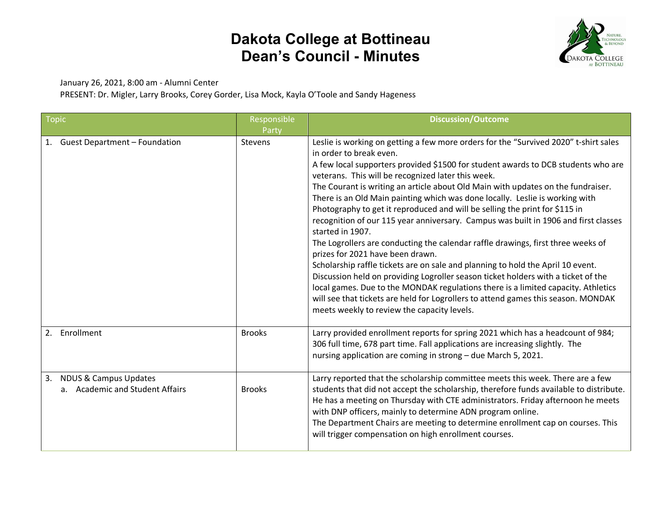

January 26, 2021, 8:00 am - Alumni Center

PRESENT: Dr. Migler, Larry Brooks, Corey Gorder, Lisa Mock, Kayla O'Toole and Sandy Hageness

| <b>Topic</b>                                                              | Responsible<br>Party | <b>Discussion/Outcome</b>                                                                                                                                                                                                                                                                                                                                                                                                                                                                                                                                                                                                                                                                                                                                                                                                                                                                                                                                                                                                                                                                                                                         |
|---------------------------------------------------------------------------|----------------------|---------------------------------------------------------------------------------------------------------------------------------------------------------------------------------------------------------------------------------------------------------------------------------------------------------------------------------------------------------------------------------------------------------------------------------------------------------------------------------------------------------------------------------------------------------------------------------------------------------------------------------------------------------------------------------------------------------------------------------------------------------------------------------------------------------------------------------------------------------------------------------------------------------------------------------------------------------------------------------------------------------------------------------------------------------------------------------------------------------------------------------------------------|
| 1. Guest Department - Foundation                                          | <b>Stevens</b>       | Leslie is working on getting a few more orders for the "Survived 2020" t-shirt sales<br>in order to break even.<br>A few local supporters provided \$1500 for student awards to DCB students who are<br>veterans. This will be recognized later this week.<br>The Courant is writing an article about Old Main with updates on the fundraiser.<br>There is an Old Main painting which was done locally. Leslie is working with<br>Photography to get it reproduced and will be selling the print for \$115 in<br>recognition of our 115 year anniversary. Campus was built in 1906 and first classes<br>started in 1907.<br>The Logrollers are conducting the calendar raffle drawings, first three weeks of<br>prizes for 2021 have been drawn.<br>Scholarship raffle tickets are on sale and planning to hold the April 10 event.<br>Discussion held on providing Logroller season ticket holders with a ticket of the<br>local games. Due to the MONDAK regulations there is a limited capacity. Athletics<br>will see that tickets are held for Logrollers to attend games this season. MONDAK<br>meets weekly to review the capacity levels. |
| 2. Enrollment                                                             | <b>Brooks</b>        | Larry provided enrollment reports for spring 2021 which has a headcount of 984;<br>306 full time, 678 part time. Fall applications are increasing slightly. The<br>nursing application are coming in strong - due March 5, 2021.                                                                                                                                                                                                                                                                                                                                                                                                                                                                                                                                                                                                                                                                                                                                                                                                                                                                                                                  |
| <b>NDUS &amp; Campus Updates</b><br>3.<br>a. Academic and Student Affairs | <b>Brooks</b>        | Larry reported that the scholarship committee meets this week. There are a few<br>students that did not accept the scholarship, therefore funds available to distribute.<br>He has a meeting on Thursday with CTE administrators. Friday afternoon he meets<br>with DNP officers, mainly to determine ADN program online.<br>The Department Chairs are meeting to determine enrollment cap on courses. This<br>will trigger compensation on high enrollment courses.                                                                                                                                                                                                                                                                                                                                                                                                                                                                                                                                                                                                                                                                              |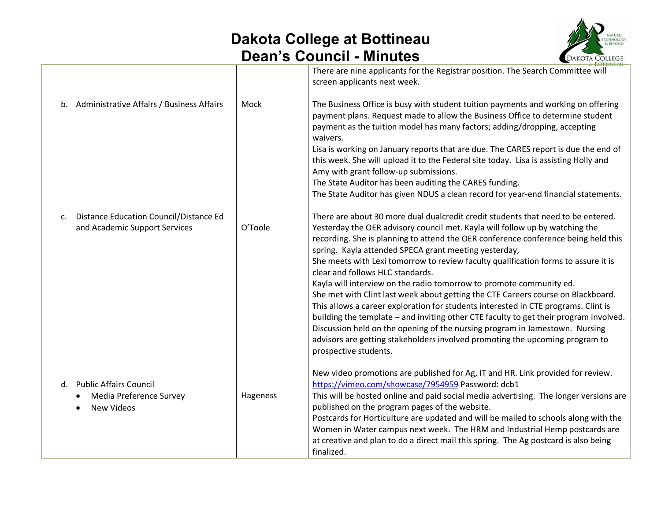

|                |                                                                                |          | AT BOTTINEAU                                                                                                                                                                                                                                                                                                                                                                                                                                                                                                                                                                                         |
|----------------|--------------------------------------------------------------------------------|----------|------------------------------------------------------------------------------------------------------------------------------------------------------------------------------------------------------------------------------------------------------------------------------------------------------------------------------------------------------------------------------------------------------------------------------------------------------------------------------------------------------------------------------------------------------------------------------------------------------|
|                |                                                                                |          | There are nine applicants for the Registrar position. The Search Committee will<br>screen applicants next week.                                                                                                                                                                                                                                                                                                                                                                                                                                                                                      |
|                | b. Administrative Affairs / Business Affairs                                   | Mock     | The Business Office is busy with student tuition payments and working on offering<br>payment plans. Request made to allow the Business Office to determine student<br>payment as the tuition model has many factors; adding/dropping, accepting<br>waivers.<br>Lisa is working on January reports that are due. The CARES report is due the end of<br>this week. She will upload it to the Federal site today. Lisa is assisting Holly and<br>Amy with grant follow-up submissions.                                                                                                                  |
|                |                                                                                |          | The State Auditor has been auditing the CARES funding.                                                                                                                                                                                                                                                                                                                                                                                                                                                                                                                                               |
|                |                                                                                |          | The State Auditor has given NDUS a clean record for year-end financial statements.                                                                                                                                                                                                                                                                                                                                                                                                                                                                                                                   |
| $\mathsf{C}$ . | <b>Distance Education Council/Distance Ed</b><br>and Academic Support Services | O'Toole  | There are about 30 more dual dualcredit credit students that need to be entered.<br>Yesterday the OER advisory council met. Kayla will follow up by watching the<br>recording. She is planning to attend the OER conference conference being held this<br>spring. Kayla attended SPECA grant meeting yesterday,<br>She meets with Lexi tomorrow to review faculty qualification forms to assure it is<br>clear and follows HLC standards.<br>Kayla will interview on the radio tomorrow to promote community ed.<br>She met with Clint last week about getting the CTE Careers course on Blackboard. |
|                |                                                                                |          | This allows a career exploration for students interested in CTE programs. Clint is<br>building the template - and inviting other CTE faculty to get their program involved.<br>Discussion held on the opening of the nursing program in Jamestown. Nursing<br>advisors are getting stakeholders involved promoting the upcoming program to<br>prospective students.                                                                                                                                                                                                                                  |
|                | d. Public Affairs Council                                                      |          | New video promotions are published for Ag, IT and HR. Link provided for review.<br>https://vimeo.com/showcase/7954959 Password: dcb1                                                                                                                                                                                                                                                                                                                                                                                                                                                                 |
|                | Media Preference Survey<br><b>New Videos</b>                                   | Hageness | This will be hosted online and paid social media advertising. The longer versions are<br>published on the program pages of the website.                                                                                                                                                                                                                                                                                                                                                                                                                                                              |
|                |                                                                                |          | Postcards for Horticulture are updated and will be mailed to schools along with the<br>Women in Water campus next week. The HRM and Industrial Hemp postcards are<br>at creative and plan to do a direct mail this spring. The Ag postcard is also being<br>finalized.                                                                                                                                                                                                                                                                                                                               |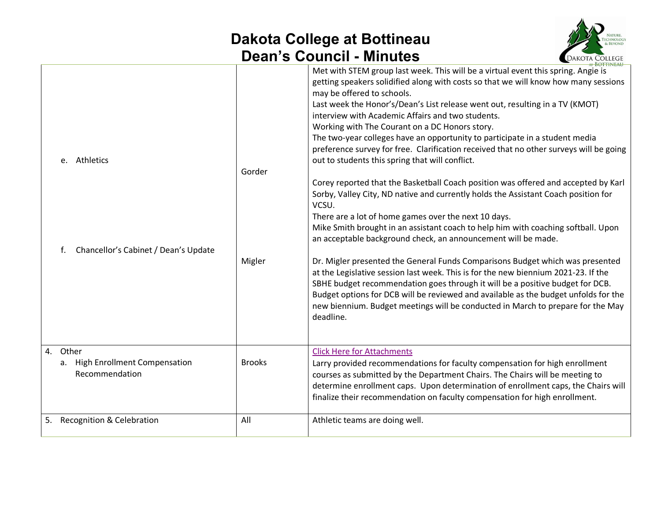

|                                                               |               | oan o ooanon willialoo<br><b>EDANOIA</b> COLLEGE                                                                                                                                                                                                                                                                                                                                                                                                                                                                                                                                                                                                                                                                                                                                                                                                                                                                                                                                                                             |  |
|---------------------------------------------------------------|---------------|------------------------------------------------------------------------------------------------------------------------------------------------------------------------------------------------------------------------------------------------------------------------------------------------------------------------------------------------------------------------------------------------------------------------------------------------------------------------------------------------------------------------------------------------------------------------------------------------------------------------------------------------------------------------------------------------------------------------------------------------------------------------------------------------------------------------------------------------------------------------------------------------------------------------------------------------------------------------------------------------------------------------------|--|
| Athletics<br>e.<br>Chancellor's Cabinet / Dean's Update<br>f. | Gorder        | Met with STEM group last week. This will be a virtual event this spring. Angie is<br>getting speakers solidified along with costs so that we will know how many sessions<br>may be offered to schools.<br>Last week the Honor's/Dean's List release went out, resulting in a TV (KMOT)<br>interview with Academic Affairs and two students.<br>Working with The Courant on a DC Honors story.<br>The two-year colleges have an opportunity to participate in a student media<br>preference survey for free. Clarification received that no other surveys will be going<br>out to students this spring that will conflict.<br>Corey reported that the Basketball Coach position was offered and accepted by Karl<br>Sorby, Valley City, ND native and currently holds the Assistant Coach position for<br>VCSU.<br>There are a lot of home games over the next 10 days.<br>Mike Smith brought in an assistant coach to help him with coaching softball. Upon<br>an acceptable background check, an announcement will be made. |  |
|                                                               | Migler        | Dr. Migler presented the General Funds Comparisons Budget which was presented<br>at the Legislative session last week. This is for the new biennium 2021-23. If the<br>SBHE budget recommendation goes through it will be a positive budget for DCB.<br>Budget options for DCB will be reviewed and available as the budget unfolds for the<br>new biennium. Budget meetings will be conducted in March to prepare for the May<br>deadline.                                                                                                                                                                                                                                                                                                                                                                                                                                                                                                                                                                                  |  |
| 4. Other<br>a. High Enrollment Compensation<br>Recommendation | <b>Brooks</b> | <b>Click Here for Attachments</b><br>Larry provided recommendations for faculty compensation for high enrollment<br>courses as submitted by the Department Chairs. The Chairs will be meeting to<br>determine enrollment caps. Upon determination of enrollment caps, the Chairs will<br>finalize their recommendation on faculty compensation for high enrollment.                                                                                                                                                                                                                                                                                                                                                                                                                                                                                                                                                                                                                                                          |  |
| 5. Recognition & Celebration                                  | All           | Athletic teams are doing well.                                                                                                                                                                                                                                                                                                                                                                                                                                                                                                                                                                                                                                                                                                                                                                                                                                                                                                                                                                                               |  |